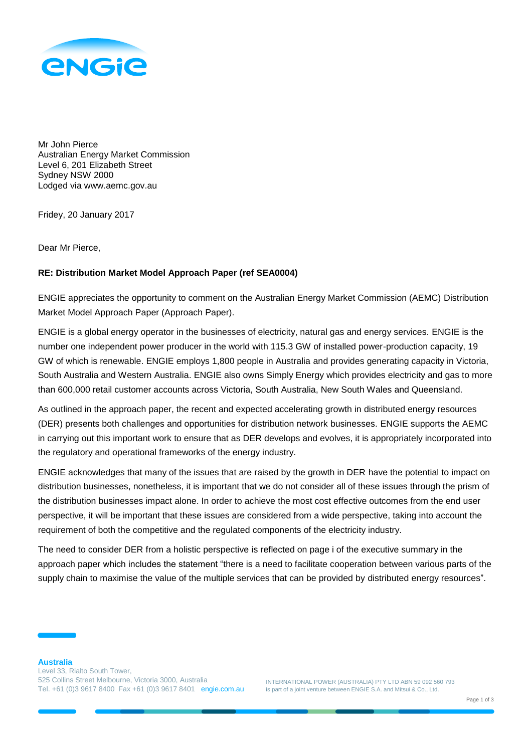

Mr John Pierce Australian Energy Market Commission Level 6, 201 Elizabeth Street Sydney NSW 2000 Lodged via www.aemc.gov.au

Fridey, 20 January 2017

Dear Mr Pierce,

## **RE: Distribution Market Model Approach Paper (ref SEA0004)**

ENGIE appreciates the opportunity to comment on the Australian Energy Market Commission (AEMC) Distribution Market Model Approach Paper (Approach Paper).

ENGIE is a global energy operator in the businesses of electricity, natural gas and energy services. ENGIE is the number one independent power producer in the world with 115.3 GW of installed power-production capacity, 19 GW of which is renewable. ENGIE employs 1,800 people in Australia and provides generating capacity in Victoria, South Australia and Western Australia. ENGIE also owns Simply Energy which provides electricity and gas to more than 600,000 retail customer accounts across Victoria, South Australia, New South Wales and Queensland.

As outlined in the approach paper, the recent and expected accelerating growth in distributed energy resources (DER) presents both challenges and opportunities for distribution network businesses. ENGIE supports the AEMC in carrying out this important work to ensure that as DER develops and evolves, it is appropriately incorporated into the regulatory and operational frameworks of the energy industry.

ENGIE acknowledges that many of the issues that are raised by the growth in DER have the potential to impact on distribution businesses, nonetheless, it is important that we do not consider all of these issues through the prism of the distribution businesses impact alone. In order to achieve the most cost effective outcomes from the end user perspective, it will be important that these issues are considered from a wide perspective, taking into account the requirement of both the competitive and the regulated components of the electricity industry.

The need to consider DER from a holistic perspective is reflected on page i of the executive summary in the approach paper which includes the statement "there is a need to facilitate cooperation between various parts of the supply chain to maximise the value of the multiple services that can be provided by distributed energy resources".

INTERNATIONAL POWER (AUSTRALIA) PTY LTD ABN 59 092 560 793 is part of a joint venture between ENGIE S.A. and Mitsui & Co., Ltd.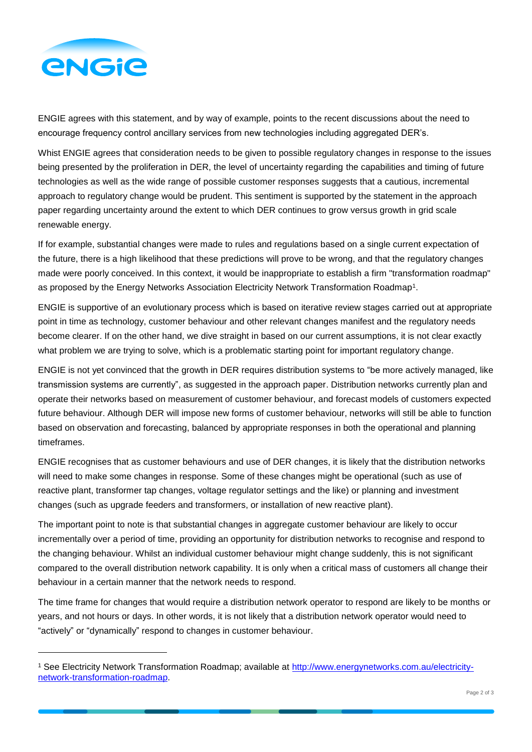

l

ENGIE agrees with this statement, and by way of example, points to the recent discussions about the need to encourage frequency control ancillary services from new technologies including aggregated DER's.

Whist ENGIE agrees that consideration needs to be given to possible regulatory changes in response to the issues being presented by the proliferation in DER, the level of uncertainty regarding the capabilities and timing of future technologies as well as the wide range of possible customer responses suggests that a cautious, incremental approach to regulatory change would be prudent. This sentiment is supported by the statement in the approach paper regarding uncertainty around the extent to which DER continues to grow versus growth in grid scale renewable energy.

If for example, substantial changes were made to rules and regulations based on a single current expectation of the future, there is a high likelihood that these predictions will prove to be wrong, and that the regulatory changes made were poorly conceived. In this context, it would be inappropriate to establish a firm "transformation roadmap" as proposed by the Energy Networks Association Electricity Network Transformation Roadmap1.

ENGIE is supportive of an evolutionary process which is based on iterative review stages carried out at appropriate point in time as technology, customer behaviour and other relevant changes manifest and the regulatory needs become clearer. If on the other hand, we dive straight in based on our current assumptions, it is not clear exactly what problem we are trying to solve, which is a problematic starting point for important regulatory change.

ENGIE is not yet convinced that the growth in DER requires distribution systems to "be more actively managed, like transmission systems are currently", as suggested in the approach paper. Distribution networks currently plan and operate their networks based on measurement of customer behaviour, and forecast models of customers expected future behaviour. Although DER will impose new forms of customer behaviour, networks will still be able to function based on observation and forecasting, balanced by appropriate responses in both the operational and planning timeframes.

ENGIE recognises that as customer behaviours and use of DER changes, it is likely that the distribution networks will need to make some changes in response. Some of these changes might be operational (such as use of reactive plant, transformer tap changes, voltage regulator settings and the like) or planning and investment changes (such as upgrade feeders and transformers, or installation of new reactive plant).

The important point to note is that substantial changes in aggregate customer behaviour are likely to occur incrementally over a period of time, providing an opportunity for distribution networks to recognise and respond to the changing behaviour. Whilst an individual customer behaviour might change suddenly, this is not significant compared to the overall distribution network capability. It is only when a critical mass of customers all change their behaviour in a certain manner that the network needs to respond.

The time frame for changes that would require a distribution network operator to respond are likely to be months or years, and not hours or days. In other words, it is not likely that a distribution network operator would need to "actively" or "dynamically" respond to changes in customer behaviour.

<sup>1</sup> See Electricity Network Transformation Roadmap; available at [http://www.energynetworks.com.au/electricity](http://www.energynetworks.com.au/electricity-network-transformation-roadmap)[network-transformation-roadmap.](http://www.energynetworks.com.au/electricity-network-transformation-roadmap)